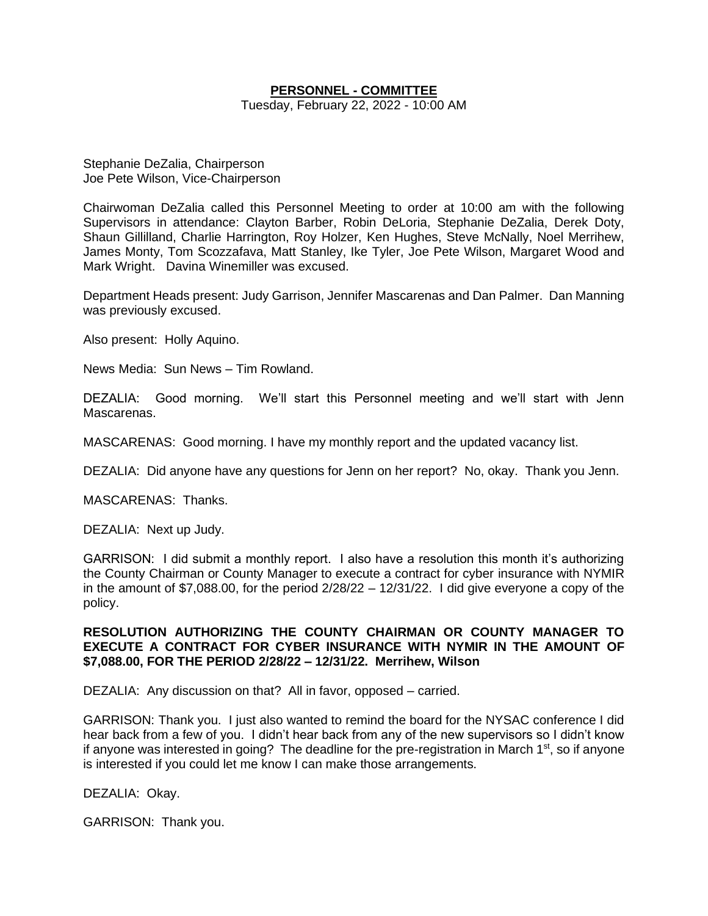## **PERSONNEL - COMMITTEE**

Tuesday, February 22, 2022 - 10:00 AM

Stephanie DeZalia, Chairperson Joe Pete Wilson, Vice-Chairperson

Chairwoman DeZalia called this Personnel Meeting to order at 10:00 am with the following Supervisors in attendance: Clayton Barber, Robin DeLoria, Stephanie DeZalia, Derek Doty, Shaun Gillilland, Charlie Harrington, Roy Holzer, Ken Hughes, Steve McNally, Noel Merrihew, James Monty, Tom Scozzafava, Matt Stanley, Ike Tyler, Joe Pete Wilson, Margaret Wood and Mark Wright. Davina Winemiller was excused.

Department Heads present: Judy Garrison, Jennifer Mascarenas and Dan Palmer. Dan Manning was previously excused.

Also present: Holly Aquino.

News Media: Sun News – Tim Rowland.

DEZALIA: Good morning. We'll start this Personnel meeting and we'll start with Jenn Mascarenas.

MASCARENAS: Good morning. I have my monthly report and the updated vacancy list.

DEZALIA: Did anyone have any questions for Jenn on her report? No, okay. Thank you Jenn.

MASCARENAS: Thanks.

DEZALIA: Next up Judy.

GARRISON: I did submit a monthly report. I also have a resolution this month it's authorizing the County Chairman or County Manager to execute a contract for cyber insurance with NYMIR in the amount of \$7,088.00, for the period  $2/28/22 - 12/31/22$ . I did give everyone a copy of the policy.

## **RESOLUTION AUTHORIZING THE COUNTY CHAIRMAN OR COUNTY MANAGER TO EXECUTE A CONTRACT FOR CYBER INSURANCE WITH NYMIR IN THE AMOUNT OF \$7,088.00, FOR THE PERIOD 2/28/22 – 12/31/22. Merrihew, Wilson**

DEZALIA: Any discussion on that? All in favor, opposed – carried.

GARRISON: Thank you. I just also wanted to remind the board for the NYSAC conference I did hear back from a few of you. I didn't hear back from any of the new supervisors so I didn't know if anyone was interested in going? The deadline for the pre-registration in March  $1<sup>st</sup>$ , so if anyone is interested if you could let me know I can make those arrangements.

DEZALIA: Okay.

GARRISON: Thank you.